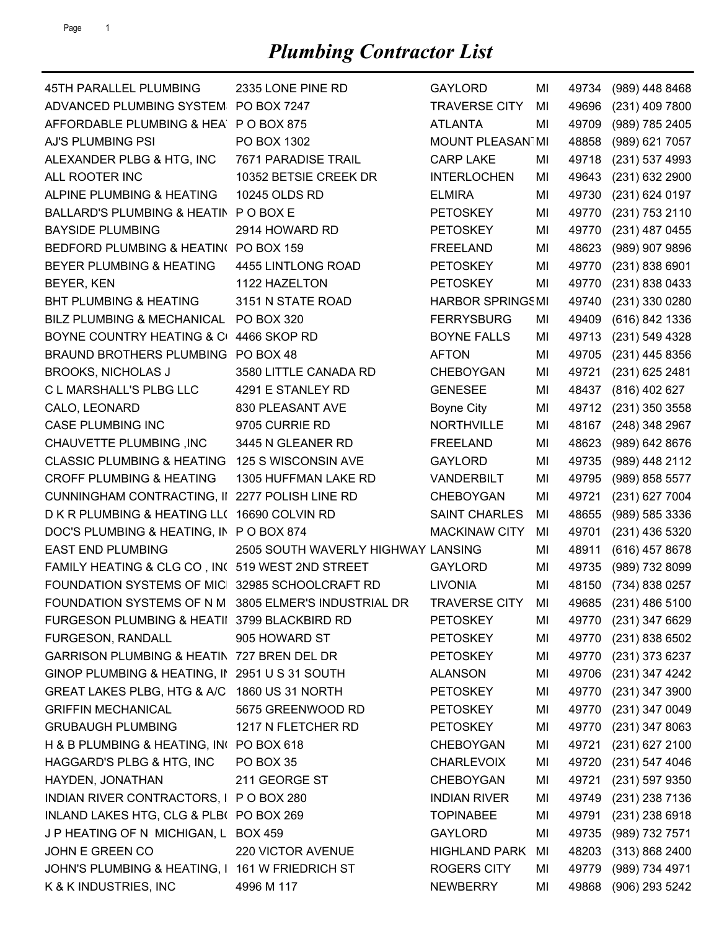| 45TH PARALLEL PLUMBING                               | 2335 LONE PINE RD                  | <b>GAYLORD</b>          | MI | 49734 | (989) 448 8468       |
|------------------------------------------------------|------------------------------------|-------------------------|----|-------|----------------------|
| ADVANCED PLUMBING SYSTEM PO BOX 7247                 |                                    | <b>TRAVERSE CITY</b>    | MI | 49696 | (231) 409 7800       |
| AFFORDABLE PLUMBING & HEA P O BOX 875                |                                    | <b>ATLANTA</b>          | MI | 49709 | (989) 785 2405       |
| AJ'S PLUMBING PSI                                    | PO BOX 1302                        | MOUNT PLEASAN1MI        |    | 48858 | (989) 621 7057       |
| ALEXANDER PLBG & HTG, INC                            | 7671 PARADISE TRAIL                | <b>CARP LAKE</b>        | ΜI | 49718 | (231) 537 4993       |
| ALL ROOTER INC                                       | 10352 BETSIE CREEK DR              | <b>INTERLOCHEN</b>      | MI | 49643 | (231) 632 2900       |
| ALPINE PLUMBING & HEATING                            | 10245 OLDS RD                      | <b>ELMIRA</b>           | MI | 49730 | (231) 624 0197       |
| BALLARD'S PLUMBING & HEATIN PO BOX E                 |                                    | <b>PETOSKEY</b>         | MI | 49770 | (231) 753 2110       |
| <b>BAYSIDE PLUMBING</b>                              | 2914 HOWARD RD                     | <b>PETOSKEY</b>         | MI | 49770 | (231) 487 0455       |
| BEDFORD PLUMBING & HEATIN( PO BOX 159                |                                    | <b>FREELAND</b>         | MI | 48623 | (989) 907 9896       |
| BEYER PLUMBING & HEATING                             | 4455 LINTLONG ROAD                 | <b>PETOSKEY</b>         | MI | 49770 | (231) 838 6901       |
| BEYER, KEN                                           | 1122 HAZELTON                      | <b>PETOSKEY</b>         | MI | 49770 | (231) 838 0433       |
| <b>BHT PLUMBING &amp; HEATING</b>                    | 3151 N STATE ROAD                  | <b>HARBOR SPRINGSMI</b> |    | 49740 | (231) 330 0280       |
| BILZ PLUMBING & MECHANICAL                           | PO BOX 320                         | <b>FERRYSBURG</b>       | MI | 49409 | (616) 842 1336       |
| BOYNE COUNTRY HEATING & C                            | 4466 SKOP RD                       | <b>BOYNE FALLS</b>      | MI | 49713 | (231) 549 4328       |
| BRAUND BROTHERS PLUMBING PO BOX 48                   |                                    | <b>AFTON</b>            | MI | 49705 | (231) 445 8356       |
| <b>BROOKS, NICHOLAS J</b>                            | 3580 LITTLE CANADA RD              | <b>CHEBOYGAN</b>        | MI | 49721 | (231) 625 2481       |
| C L MARSHALL'S PLBG LLC                              | 4291 E STANLEY RD                  | <b>GENESEE</b>          | MI | 48437 | (816) 402 627        |
| CALO, LEONARD                                        | 830 PLEASANT AVE                   | <b>Boyne City</b>       | MI | 49712 | (231) 350 3558       |
| <b>CASE PLUMBING INC</b>                             | 9705 CURRIE RD                     | <b>NORTHVILLE</b>       | ΜI | 48167 | (248) 348 2967       |
| CHAUVETTE PLUMBING, INC                              | 3445 N GLEANER RD                  | <b>FREELAND</b>         | MI | 48623 | (989) 642 8676       |
| <b>CLASSIC PLUMBING &amp; HEATING</b>                | 125 S WISCONSIN AVE                | <b>GAYLORD</b>          | MI | 49735 | (989) 448 2112       |
| <b>CROFF PLUMBING &amp; HEATING</b>                  | 1305 HUFFMAN LAKE RD               | VANDERBILT              | MI | 49795 | (989) 858 5577       |
| CUNNINGHAM CONTRACTING, II 2277 POLISH LINE RD       |                                    | <b>CHEBOYGAN</b>        | MI | 49721 | (231) 627 7004       |
| D K R PLUMBING & HEATING LL( 16690 COLVIN RD         |                                    | <b>SAINT CHARLES</b>    | MI | 48655 | (989) 585 3336       |
| DOC'S PLUMBING & HEATING, IN POBOX 874               |                                    | <b>MACKINAW CITY</b>    | MI | 49701 | (231) 436 5320       |
| <b>EAST END PLUMBING</b>                             | 2505 SOUTH WAVERLY HIGHWAY LANSING |                         | MI | 48911 | (616) 457 8678       |
| FAMILY HEATING & CLG CO, IN( 519 WEST 2ND STREET     |                                    | <b>GAYLORD</b>          | MI | 49735 | (989) 732 8099       |
| FOUNDATION SYSTEMS OF MIC 32985 SCHOOLCRAFT RD       |                                    | <b>LIVONIA</b>          | MI | 48150 | (734) 838 0257       |
| FOUNDATION SYSTEMS OF N M 3805 ELMER'S INDUSTRIAL DR |                                    | <b>TRAVERSE CITY</b>    | MI |       | 49685 (231) 486 5100 |
| FURGESON PLUMBING & HEATII 3799 BLACKBIRD RD         |                                    | <b>PETOSKEY</b>         | MI |       | 49770 (231) 347 6629 |
| FURGESON, RANDALL                                    | 905 HOWARD ST                      | <b>PETOSKEY</b>         | MI | 49770 | (231) 838 6502       |
| GARRISON PLUMBING & HEATIN 727 BREN DEL DR           |                                    | <b>PETOSKEY</b>         | MI | 49770 | (231) 373 6237       |
| GINOP PLUMBING & HEATING, II 2951 U S 31 SOUTH       |                                    | <b>ALANSON</b>          | MI | 49706 | (231) 347 4242       |
| GREAT LAKES PLBG, HTG & A/C 1860 US 31 NORTH         |                                    | <b>PETOSKEY</b>         | MI | 49770 | (231) 347 3900       |
| <b>GRIFFIN MECHANICAL</b>                            | 5675 GREENWOOD RD                  | <b>PETOSKEY</b>         | MI | 49770 | (231) 347 0049       |
| <b>GRUBAUGH PLUMBING</b>                             | 1217 N FLETCHER RD                 | <b>PETOSKEY</b>         | MI | 49770 | (231) 347 8063       |
| H & B PLUMBING & HEATING, IN( PO BOX 618)            |                                    | CHEBOYGAN               | MI | 49721 | (231) 627 2100       |
| HAGGARD'S PLBG & HTG, INC                            | PO BOX 35                          | <b>CHARLEVOIX</b>       | MI | 49720 | $(231)$ 547 4046     |
| HAYDEN, JONATHAN                                     | 211 GEORGE ST                      | CHEBOYGAN               | MI | 49721 | (231) 597 9350       |
| INDIAN RIVER CONTRACTORS, I P O BOX 280              |                                    | <b>INDIAN RIVER</b>     | MI | 49749 | (231) 238 7136       |
| INLAND LAKES HTG, CLG & PLB( PO BOX 269              |                                    | <b>TOPINABEE</b>        | MI | 49791 | (231) 238 6918       |
| J P HEATING OF N MICHIGAN, L BOX 459                 |                                    | <b>GAYLORD</b>          | MI | 49735 | (989) 732 7571       |
| JOHN E GREEN CO                                      | 220 VICTOR AVENUE                  | <b>HIGHLAND PARK</b>    | MI | 48203 | (313) 868 2400       |
| JOHN'S PLUMBING & HEATING, I 161 W FRIEDRICH ST      |                                    | <b>ROGERS CITY</b>      | MI | 49779 | (989) 734 4971       |
| K & K INDUSTRIES, INC                                | 4996 M 117                         | <b>NEWBERRY</b>         | MI | 49868 | (906) 293 5242       |
|                                                      |                                    |                         |    |       |                      |